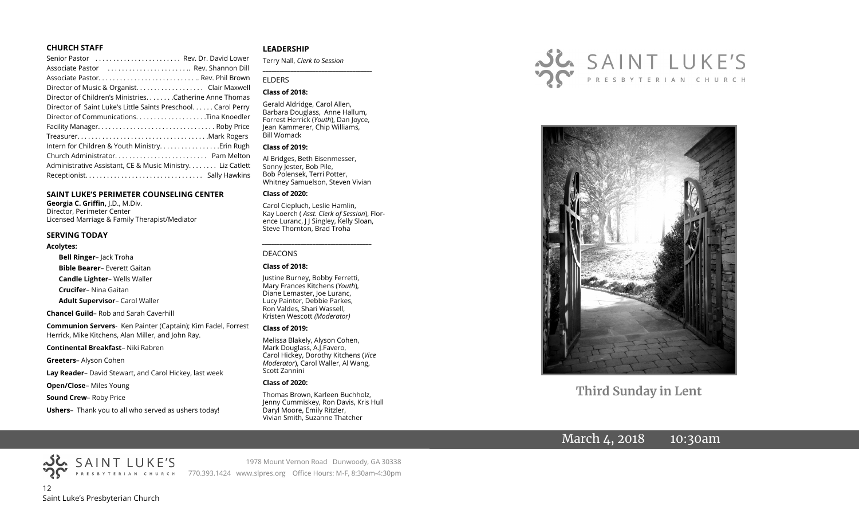#### **CHURCH STAFF**

#### **SAINT LUKE'S PERIMETER COUNSELING CENTER**

**Georgia C. Griffin,** J.D., M.Div. Director, Perimeter Center Licensed Marriage & Family Therapist/Mediator

#### **SERVING TODAY**

#### **Acolytes:**

**Bell Ringer**– Jack Troha

**Bible Bearer**– Everett Gaitan

**Candle Lighter**– Wells Waller

**Crucifer**– Nina Gaitan

**Adult Supervisor**– Carol Waller

**Chancel Guild**– Rob and Sarah Caverhill

**Communion Servers**- Ken Painter (Captain); Kim Fadel, Forrest Herrick, Mike Kitchens, Alan Miller, and John Ray.

#### **Continental Breakfast**– Niki Rabren

**Greeters**– Alyson Cohen

**Lay Reader**– David Stewart, and Carol Hickey, last week

**Open/Close**– Miles Young

**Sound Crew**– Roby Price

**Ushers**– Thank you to all who served as ushers today!

#### **LEADERSHIP**

Terry Nall, *Clerk to Session* 

#### ELDERS

#### **Class of 2018:**

Gerald Aldridge, Carol Allen, Barbara Douglass, Anne Hallum, Forrest Herrick (*Youth*), Dan Joyce, Jean Kammerer, Chip Williams, Bill Womack

**\_\_\_\_\_\_\_\_\_\_\_\_\_\_\_\_\_\_\_\_\_\_\_\_\_\_\_\_\_\_\_\_\_\_\_\_\_\_\_**

#### **Class of 2019:**

Al Bridges, Beth Eisenmesser, Sonny Jester, Bob Pile, Bob Polensek, Terri Potter, Whitney Samuelson, Steven Vivian

#### **Class of 2020:**

Carol Ciepluch, Leslie Hamlin, Kay Loerch ( *Asst. Clerk of Session*), Florence Luranc, J J Singley, Kelly Sloan, Steve Thornton, Brad Troha

*\_\_\_\_\_\_\_\_\_\_\_\_\_\_\_\_\_\_\_\_\_\_\_\_\_\_\_\_\_\_\_\_\_\_\_\_\_*

#### DEACONS

#### **Class of 2018:**

Justine Burney, Bobby Ferretti, Mary Frances Kitchens (*Youth*), Diane Lemaster, Joe Luranc, Lucy Painter, Debbie Parkes, Ron Valdes, Shari Wassell, Kristen Wescott *(Moderator)*

#### **Class of 2019:**

Melissa Blakely, Alyson Cohen, Mark Douglass, A.J.Favero, Carol Hickey, Dorothy Kitchens (*Vice Moderator*), Carol Waller, Al Wang, Scott Zannini

#### **Class of 2020:**

Thomas Brown, Karleen Buchholz, Jenny Cummiskey, Ron Davis, Kris Hull Daryl Moore, Emily Ritzler, Vivian Smith, Suzanne Thatcher





**Third Sunday in Lent**

# March 4, 2018 10:30am

12 Saint Luke's Presbyterian Church

1978 Mount Vernon Road Dunwoody, GA 30338 770.393.1424 www.slpres.org Office Hours: M-F, 8:30am-4:30pm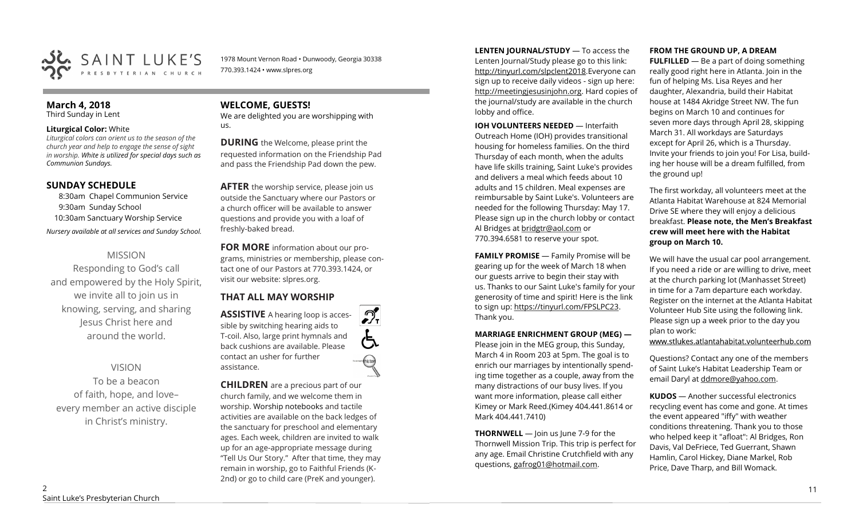

1978 Mount Vernon Road • Dunwoody, Georgia 30338 770.393.1424 • www.slpres.org

# **March 4, 2018**

Third Sunday in Lent

#### **Liturgical Color:** White

*Liturgical colors can orient us to the season of the church year and help to engage the sense of sight in worship. White is utilized for special days such as Communion Sundays.* 

# **SUNDAY SCHEDULE**

8:30am Chapel Communion Service 9:30am Sunday School 10:30am Sanctuary Worship Service *Nursery available at all services and Sunday School.* 

# MISSION

Responding to God's call and empowered by the Holy Spirit, we invite all to join us in knowing, serving, and sharing Jesus Christ here and around the world.

# VISION

To be a beacon of faith, hope, and love– every member an active disciple in Christ's ministry.

# **WELCOME, GUESTS!**

We are delighted you are worshipping with us.

**DURING** the Welcome, please print the requested information on the Friendship Pad and pass the Friendship Pad down the pew.

**AFTER** the worship service, please join us outside the Sanctuary where our Pastors or a church officer will be available to answer questions and provide you with a loaf of freshly-baked bread.

**FOR MORE** information about our programs, ministries or membership, please contact one of our Pastors at 770.393.1424, or visit our website: slpres.org.

 $\mathcal{D}_{\mathrm{r}}$ 

thistext

# **THAT ALL MAY WORSHIP**

**ASSISTIVE** A hearing loop is accessible by switching hearing aids to T-coil. Also, large print hymnals and back cushions are available. Please contact an usher for further assistance.

**CHILDREN** are a precious part of our church family, and we welcome them in worship. Worship notebooks and tactile activities are available on the back ledges of the sanctuary for preschool and elementary ages. Each week, children are invited to walk up for an age-appropriate message during "Tell Us Our Story." After that time, they may remain in worship, go to Faithful Friends (K-2nd) or go to child care (PreK and younger).

**LENTEN JOURNAL/STUDY** — To access the Lenten Journal/Study please go to this link: http://tinyurl.com/slpclent2018.Everyone can sign up to receive daily videos - sign up here: [http://meetingjesusinjohn.org.](http://meetingjesusinjohn.org/) Hard copies of the journal/study are available in the church lobby and office.

**IOH VOLUNTEERS NEEDED** — Interfaith Outreach Home (IOH) provides transitional housing for homeless families. On the third Thursday of each month, when the adults have life skills training, Saint Luke's provides and delivers a meal which feeds about 10 adults and 15 children. Meal expenses are reimbursable by Saint Luke's. Volunteers are needed for the following Thursday: May 17. Please sign up in the church lobby or contact Al Bridges at [bridgtr@aol.com](mailto:bridgtr@aol.com) or 770.394.6581 to reserve your spot.

**FAMILY PROMISE** - Family Promise will be gearing up for the week of March 18 when our guests arrive to begin their stay with us. Thanks to our Saint Luke's family for your generosity of time and spirit! Here is the link to sign up: [https://tinyurl.com/FPSLPC23.](https://tinyurl.com/FPSLPC23) Thank you.

#### **MARRIAGE ENRICHMENT GROUP (MEG) —**

Please join in the MEG group, this Sunday, March 4 in Room 203 at 5pm. The goal is to enrich our marriages by intentionally spending time together as a couple, away from the many distractions of our busy lives. If you want more information, please call either Kimey or Mark Reed.(Kimey 404.441.8614 or Mark 404.441.7410)

**THORNWELL** — Join us June 7-9 for the Thornwell Mission Trip. This trip is perfect for any age. Email Christine Crutchfield with any questions, gafrog01@hotmail.com.

#### **FROM THE GROUND UP, A DREAM**

**FULFILLED** — Be a part of doing something really good right here in Atlanta. Join in the fun of helping Ms. Lisa Reyes and her daughter, Alexandria, build their Habitat house at 1484 Akridge Street NW. The fun begins on March 10 and continues for seven more days through April 28, skipping March 31. All workdays are Saturdays except for April 26, which is a Thursday. Invite your friends to join you! For Lisa, building her house will be a dream fulfilled, from the ground up!

The first workday, all volunteers meet at the Atlanta Habitat Warehouse at 824 Memorial Drive SE where they will enjoy a delicious breakfast. **Please note, the Men's Breakfast crew will meet here with the Habitat group on March 10.**

We will have the usual car pool arrangement. If you need a ride or are willing to drive, meet at the church parking lot (Manhasset Street) in time for a 7am departure each workday. Register on the internet at the Atlanta Habitat Volunteer Hub Site using the following link. Please sign up a week prior to the day you plan to work:

www.stlukes.atlantahabitat.volunteerhub.com

Questions? Contact any one of the members of Saint Luke's Habitat Leadership Team or email Daryl at ddmore@yahoo.com.

**KUDOS** — Another successful electronics recycling event has come and gone. At times the event appeared "iffy" with weather conditions threatening. Thank you to those who helped keep it "afloat": Al Bridges, Ron Davis, Val DeFriece, Ted Guerrant, Shawn Hamlin, Carol Hickey, Diane Markel, Rob Price, Dave Tharp, and Bill Womack.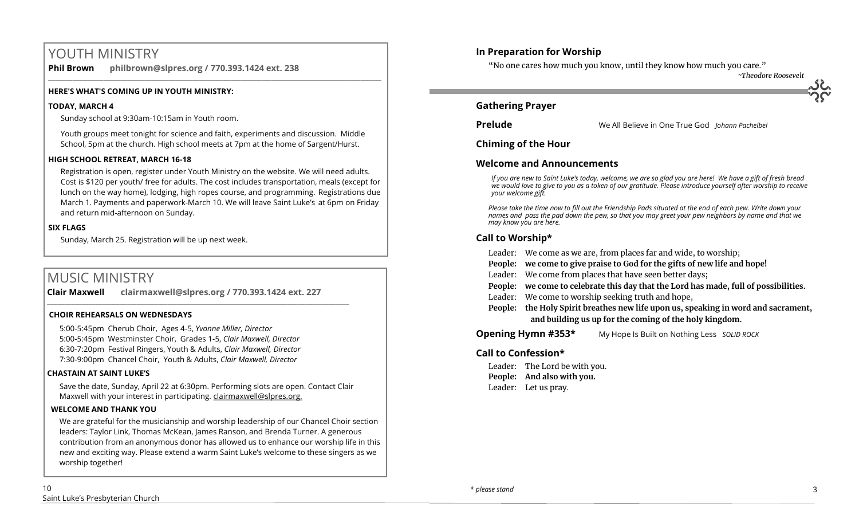# YOUTH MINISTRY

**Phil Brown philbrown@slpres.org / 770.393.1424 ext. 238**   $\_$  ,  $\_$  ,  $\_$  ,  $\_$  ,  $\_$  ,  $\_$  ,  $\_$  ,  $\_$  ,  $\_$  ,  $\_$  ,  $\_$  ,  $\_$  ,  $\_$  ,  $\_$  ,  $\_$  ,  $\_$  ,  $\_$  ,  $\_$  ,  $\_$ 

## **HERE'S WHAT'S COMING UP IN YOUTH MINISTRY:**

#### **TODAY, MARCH 4**

Sunday school at 9:30am-10:15am in Youth room.

Youth groups meet tonight for science and faith, experiments and discussion. Middle School, 5pm at the church. High school meets at 7pm at the home of Sargent/Hurst.

#### **HIGH SCHOOL RETREAT, MARCH 16-18**

Registration is open, register under Youth Ministry on the website. We will need adults. Cost is \$120 per youth/ free for adults. The cost includes transportation, meals (except for lunch on the way home), lodging, high ropes course, and programming. Registrations due March 1. Payments and paperwork-March 10. We will leave Saint Luke's at 6pm on Friday and return mid-afternoon on Sunday.

## **SIX FLAGS**

Sunday, March 25. Registration will be up next week.

# MUSIC MINISTRY

**Clair Maxwell clairmaxwell@slpres.org / 770.393.1424 ext. 227**   $\_$  , and the set of the set of the set of the set of the set of the set of the set of the set of the set of the set of the set of the set of the set of the set of the set of the set of the set of the set of the set of th

#### **CHOIR REHEARSALS ON WEDNESDAYS**

5:00-5:45pm Cherub Choir, Ages 4-5, *Yvonne Miller, Director*  5:00-5:45pm Westminster Choir, Grades 1-5, *Clair Maxwell, Director*  6:30-7:20pm Festival Ringers, Youth & Adults, *Clair Maxwell, Director*  7:30-9:00pm Chancel Choir, Youth & Adults, *Clair Maxwell, Director* 

## **CHASTAIN AT SAINT LUKE'S**

Save the date, Sunday, April 22 at 6:30pm. Performing slots are open. Contact Clair Maxwell with your interest in participating. clairmaxwell@slpres.org.

#### **WELCOME AND THANK YOU**

We are grateful for the musicianship and worship leadership of our Chancel Choir section leaders: Taylor Link, Thomas McKean, James Ranson, and Brenda Turner. A generous contribution from an anonymous donor has allowed us to enhance our worship life in this new and exciting way. Please extend a warm Saint Luke's welcome to these singers as we worship together!

# **In Preparation for Worship**

"No one cares how much you know, until they know how much you care."

*~Theodore Roosevelt*

## **Gathering Prayer**

**Prelude** Me All Believe in One True God *Johann Pachelbel* Johann Pachelbel

**Chiming of the Hour**

# **Welcome and Announcements**

*If you are new to Saint Luke's today, welcome, we are so glad you are here! We have a gift of fresh bread we would love to give to you as a token of our gratitude. Please introduce yourself after worship to receive your welcome gift.*

*Please take the time now to fill out the Friendship Pads situated at the end of each pew. Write down your names and pass the pad down the pew, so that you may greet your pew neighbors by name and that we may know you are here.*

# **Call to Worship\***

Leader: We come as we are, from places far and wide, to worship;

**People: we come to give praise to God for the gifts of new life and hope!**

- Leader: We come from places that have seen better days;
- **People: we come to celebrate this day that the Lord has made, full of possibilities.**
- Leader: We come to worship seeking truth and hope,
- **People: the Holy Spirit breathes new life upon us, speaking in word and sacrament, and building us up for the coming of the holy kingdom.**

**Opening Hymn #353\*** My Hope Is Built on Nothing Less *SOLID ROCK*

# **Call to Confession\***

Leader: The Lord be with you. **People: And also with you.** Leader: Let us pray.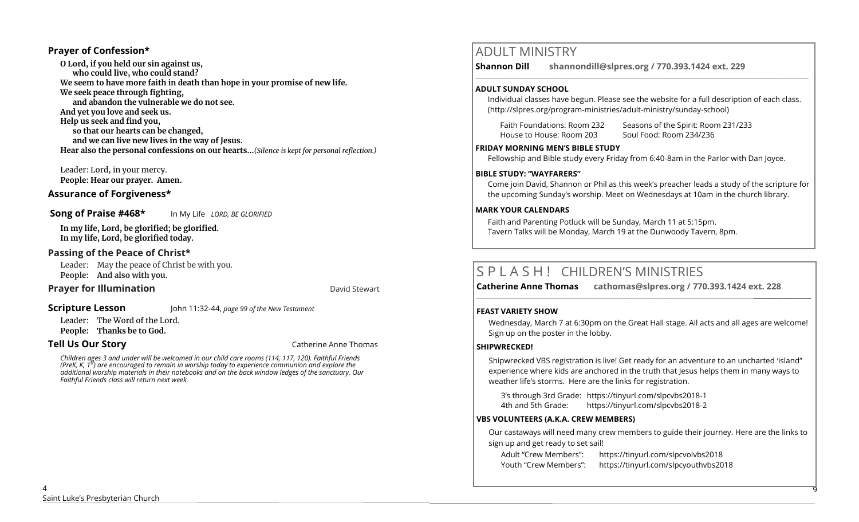## **Prayer of Confession\***

**O Lord, if you held our sin against us, who could live, who could stand? We seem to have more faith in death than hope in your promise of new life. We seek peace through fighting, and abandon the vulnerable we do not see. And yet you love and seek us. Help us seek and find you, so that our hearts can be changed, and we can live new lives in the way of Jesus. Hear also the personal confessions on our hearts...***(Silence is kept for personal reflection.)*

Leader: Lord, in your mercy. **People: Hear our prayer. Amen.**

#### **Assurance of Forgiveness\***

**Song of Praise #468\*** In My Life *LORD, BE GLORIFIED*

**In my life, Lord, be glorified; be glorified.**

**In my life, Lord, be glorified today.**

# **Passing of the Peace of Christ\***

Leader: May the peace of Christ be with you. **People: And also with you.**

# **Prayer for Illumination David Stewart David Stewart**

#### **Scripture Lesson** John 11:32-44, *page 99 of the New Testament*

Leader: The Word of the Lord. **People: Thanks be to God.**

**Tell Us Our Story Catherine Anne Thomas Catherine Anne Thomas** 

*Children ages 3 and under will be welcomed in our child care rooms (114, 117, 120). Faithful Friends (PreK, K, 1st) are encouraged to remain in worship today to experience communion and explore the additional worship materials in their notebooks and on the back window ledges of the sanctuary. Our Faithful Friends class will return next week.*

# ADULT MINISTRY

**Shannon Dill shannondill@slpres.org / 770.393.1424 ext. 229**   $\_$  ,  $\_$  ,  $\_$  ,  $\_$  ,  $\_$  ,  $\_$  ,  $\_$  ,  $\_$  ,  $\_$  ,  $\_$  ,  $\_$  ,  $\_$  ,  $\_$  ,  $\_$  ,  $\_$  ,  $\_$  ,  $\_$  ,  $\_$  ,  $\_$  ,  $\_$ 

#### **ADULT SUNDAY SCHOOL**

Individual classes have begun. Please see the website for a full description of each class. (http://slpres.org/program-ministries/adult-ministry/sunday-school)

Faith Foundations: Room 232 Seasons of the Spirit: Room 231/233

House to House: Room 203 Soul Food: Room 234/236

#### **FRIDAY MORNING MEN'S BIBLE STUDY**

Fellowship and Bible study every Friday from 6:40-8am in the Parlor with Dan Joyce.

#### **BIBLE STUDY: "WAYFARERS"**

Come join David, Shannon or Phil as this week's preacher leads a study of the scripture for the upcoming Sunday's worship. Meet on Wednesdays at 10am in the church library.

#### **MARK YOUR CALENDARS**

Faith and Parenting Potluck will be Sunday, March 11 at 5:15pm. Tavern Talks will be Monday, March 19 at the Dunwoody Tavern, 8pm.

# S P L A S H ! CHILDREN'S MINISTRIES

**Catherine Anne Thomas cathomas@slpres.org / 770.393.1424 ext. 228 \_\_\_\_\_\_\_\_\_\_\_\_\_\_\_\_\_\_\_\_\_\_\_\_\_\_\_\_\_\_\_\_\_\_\_\_\_\_\_\_\_\_\_\_\_\_\_\_\_\_\_\_\_\_\_\_\_\_\_\_\_\_\_\_\_\_\_\_\_\_\_\_\_\_\_\_\_\_\_\_\_\_\_\_\_\_\_\_\_\_\_\_\_\_\_\_\_\_\_\_\_\_\_\_\_\_** 

## **FEAST VARIETY SHOW**

Wednesday, March 7 at 6:30pm on the Great Hall stage. All acts and all ages are welcome! Sign up on the poster in the lobby.

## **SHIPWRECKED!**

Shipwrecked VBS registration is live! Get ready for an adventure to an uncharted 'island" experience where kids are anchored in the truth that Jesus helps them in many ways to weather life's storms. Here are the links for registration.

3's through 3rd Grade: https://tinyurl.com/slpcvbs2018-1 4th and 5th Grade: https://tinyurl.com/slpcvbs2018-2

## **VBS VOLUNTEERS (A.K.A. CREW MEMBERS)**

Our castaways will need many crew members to guide their journey. Here are the links to sign up and get ready to set sail!

9

Adult "Crew Members": https://tinyurl.com/slpcvolvbs2018 Youth "Crew Members": https://tinyurl.com/slpcyouthvbs2018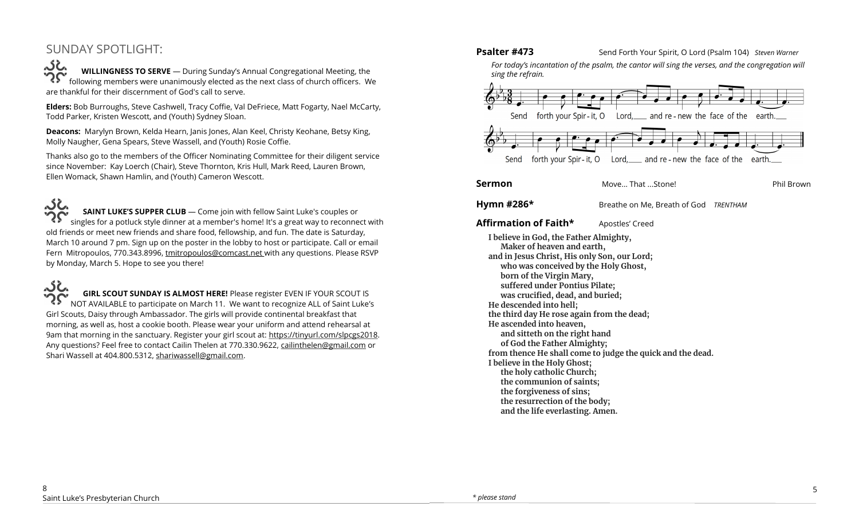# SUNDAY SPOTLIGHT:

ぶん **WILLINGNESS TO SERVE** — During Sunday's Annual Congregational Meeting, the following members were unanimously elected as the next class of church officers. We are thankful for their discernment of God's call to serve.

**Elders:** Bob Burroughs, Steve Cashwell, Tracy Coffie, Val DeFriece, Matt Fogarty, Nael McCarty, Todd Parker, Kristen Wescott, and (Youth) Sydney Sloan.

**Deacons:** Marylyn Brown, Kelda Hearn, Janis Jones, Alan Keel, Christy Keohane, Betsy King, Molly Naugher, Gena Spears, Steve Wassell, and (Youth) Rosie Coffie.

Thanks also go to the members of the Officer Nominating Committee for their diligent service since November: Kay Loerch (Chair), Steve Thornton, Kris Hull, Mark Reed, Lauren Brown, Ellen Womack, Shawn Hamlin, and (Youth) Cameron Wescott.

مخکہ **SAINT LUKE'S SUPPER CLUB** — Come join with fellow Saint Luke's couples or singles for a potluck style dinner at a member's home! It's a great way to reconnect with old friends or meet new friends and share food, fellowship, and fun. The date is Saturday, March 10 around 7 pm. Sign up on the poster in the lobby to host or participate. Call or email Fern Mitropoulos, 770.343.8996, tmitropoulos@comcast.net with any questions. Please RSVP by Monday, March 5. Hope to see you there!

، خکہ **GIRL SCOUT SUNDAY IS ALMOST HERE!** Please register EVEN IF YOUR SCOUT IS NOT AVAILABLE to participate on March 11. We want to recognize ALL of Saint Luke's Girl Scouts, Daisy through Ambassador. The girls will provide continental breakfast that morning, as well as, host a cookie booth. Please wear your uniform and attend rehearsal at 9am that morning in the sanctuary. Register your girl scout at: https://tinyurl.com/slpcgs2018. Any questions? Feel free to contact Cailin Thelen at 770.330.9622, [cailinthelen@gmail.com](mailto:cailinthelen@gmail.com) or Shari Wassell at 404.800.5312, [shariwassell@gmail.com.](mailto:shariwassell@gmail.com)

**Psalter #473** Send Forth Your Spirit, O Lord (Psalm 104) *Steven Warner* 

*For today's incantation of the psalm, the cantor will sing the verses, and the congregation will sing the refrain.*



#### **Sermon** Move... That ...Stone! **Phil Brown**

**Hymn #286\*** Breathe on Me, Breath of God *TRENTHAM* 

## **Affirmation of Faith\*** Apostles' Creed

**I believe in God, the Father Almighty, Maker of heaven and earth, and in Jesus Christ, His only Son, our Lord; who was conceived by the Holy Ghost, born of the Virgin Mary, suffered under Pontius Pilate; was crucified, dead, and buried; He descended into hell; the third day He rose again from the dead; He ascended into heaven, and sitteth on the right hand of God the Father Almighty; from thence He shall come to judge the quick and the dead. I believe in the Holy Ghost; the holy catholic Church; the communion of saints; the forgiveness of sins; the resurrection of the body; and the life everlasting. Amen.**